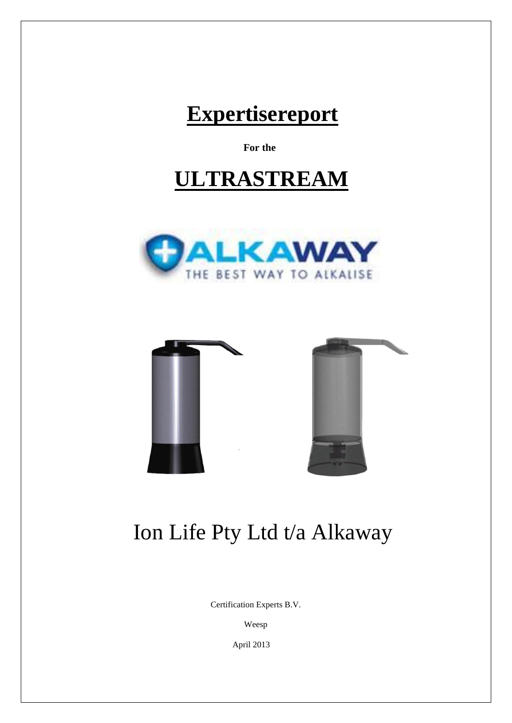# **Expertisereport**

**For the**

# **ULTRASTREAM**





# Ion Life Pty Ltd t/a Alkaway

Certification Experts B.V.

Weesp

April 2013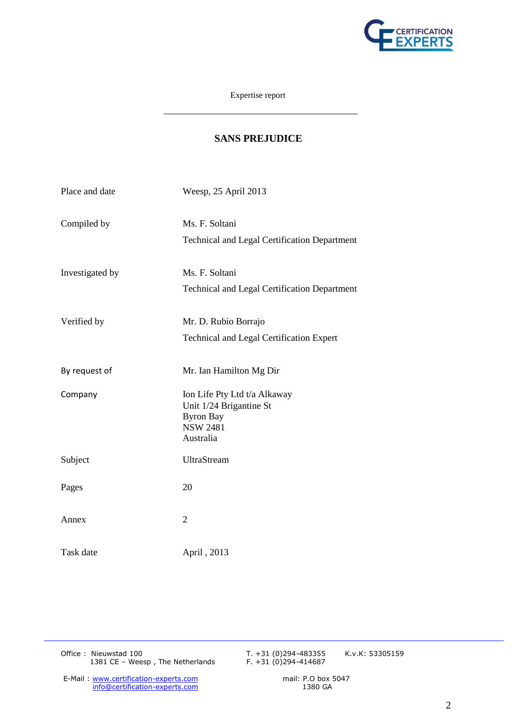

Expertise report

### **SANS PREJUDICE**

| Place and date  | Weesp, 25 April 2013                                |
|-----------------|-----------------------------------------------------|
| Compiled by     | Ms. F. Soltani                                      |
|                 | Technical and Legal Certification Department        |
| Investigated by | Ms. F. Soltani                                      |
|                 | <b>Technical and Legal Certification Department</b> |
| Verified by     | Mr. D. Rubio Borrajo                                |
|                 | <b>Technical and Legal Certification Expert</b>     |
| By request of   | Mr. Ian Hamilton Mg Dir                             |
| Company         | Ion Life Pty Ltd t/a Alkaway                        |
|                 | Unit 1/24 Brigantine St<br><b>Byron Bay</b>         |
|                 | <b>NSW 2481</b>                                     |
|                 | Australia                                           |
| Subject         | UltraStream                                         |
| Pages           | 20                                                  |
| Annex           | $\overline{2}$                                      |
| Task date       | April, 2013                                         |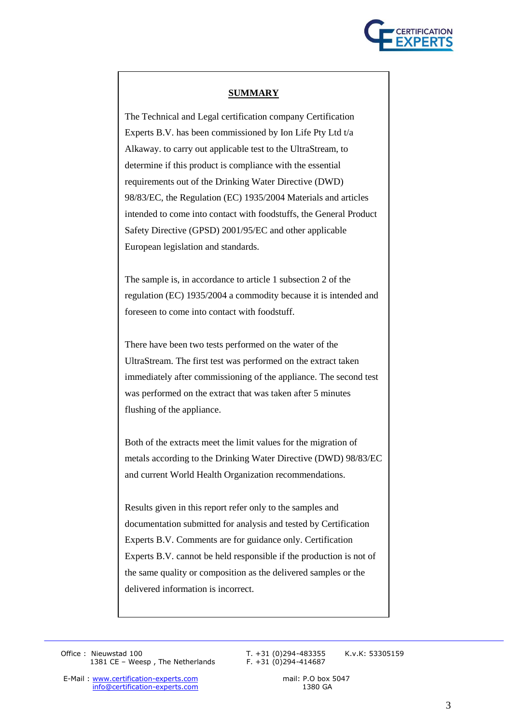

### **SUMMARY**

The Technical and Legal certification company Certification Experts B.V. has been commissioned by Ion Life Pty Ltd t/a Alkaway. to carry out applicable test to the UltraStream, to determine if this product is compliance with the essential requirements out of the Drinking Water Directive (DWD) 98/83/EC, the Regulation (EC) 1935/2004 Materials and articles intended to come into contact with foodstuffs, the General Product Safety Directive (GPSD) 2001/95/EC and other applicable European legislation and standards.

The sample is, in accordance to article 1 subsection 2 of the regulation (EC) 1935/2004 a commodity because it is intended and foreseen to come into contact with foodstuff.

There have been two tests performed on the water of the UltraStream. The first test was performed on the extract taken immediately after commissioning of the appliance. The second test was performed on the extract that was taken after 5 minutes flushing of the appliance.

Both of the extracts meet the limit values for the migration of metals according to the Drinking Water Directive (DWD) 98/83/EC and current World Health Organization recommendations.

Results given in this report refer only to the samples and documentation submitted for analysis and tested by Certification Experts B.V. Comments are for guidance only. Certification Experts B.V. cannot be held responsible if the production is not of the same quality or composition as the delivered samples or the delivered information is incorrect.

Office : Nieuwstad 100 T. +31 (0)294-483355 K.v.K: 53305159 1381 CE – Weesp , The Netherlands F. +31 (0)294-414687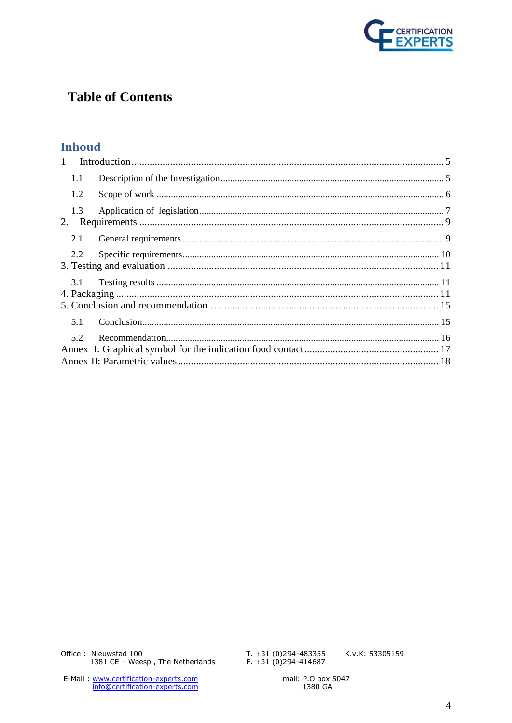

# **Table of Contents**

## **Inhoud**

|    | 1.1 |  |
|----|-----|--|
|    | 1.2 |  |
| 2. | 1.3 |  |
|    | 2.1 |  |
|    | 2.2 |  |
|    | 3.1 |  |
|    | 5.1 |  |
|    | 5.2 |  |
|    |     |  |

T. +31 (0)294-483355<br>F. +31 (0)294-414687

K.v.K: 53305159

E-Mail: www.certification-experts.com info@certification-experts.com mail: P.O box 5047 1380 GA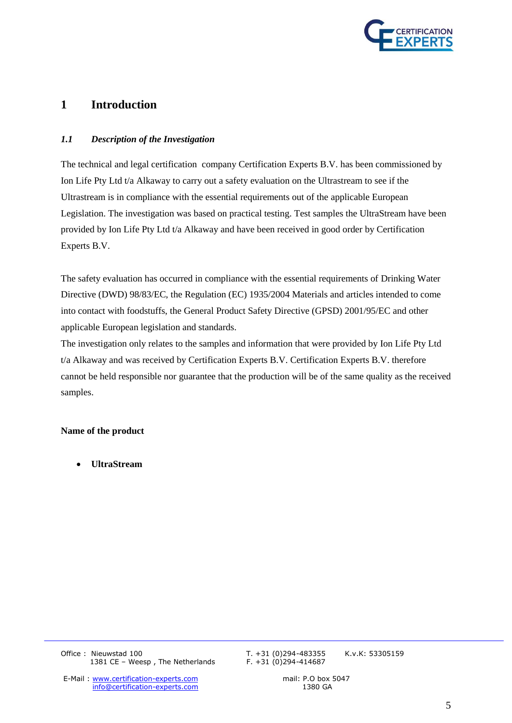

### <span id="page-4-0"></span>**1 Introduction**

### <span id="page-4-1"></span>*1.1 Description of the Investigation*

The technical and legal certification company Certification Experts B.V. has been commissioned by Ion Life Pty Ltd t/a Alkaway to carry out a safety evaluation on the Ultrastream to see if the Ultrastream is in compliance with the essential requirements out of the applicable European Legislation. The investigation was based on practical testing. Test samples the UltraStream have been provided by Ion Life Pty Ltd t/a Alkaway and have been received in good order by Certification Experts B.V.

The safety evaluation has occurred in compliance with the essential requirements of Drinking Water Directive (DWD) 98/83/EC, the Regulation (EC) 1935/2004 Materials and articles intended to come into contact with foodstuffs, the General Product Safety Directive (GPSD) 2001/95/EC and other applicable European legislation and standards.

The investigation only relates to the samples and information that were provided by Ion Life Pty Ltd t/a Alkaway and was received by Certification Experts B.V. Certification Experts B.V. therefore cannot be held responsible nor guarantee that the production will be of the same quality as the received samples.

### **Name of the product**

**UltraStream**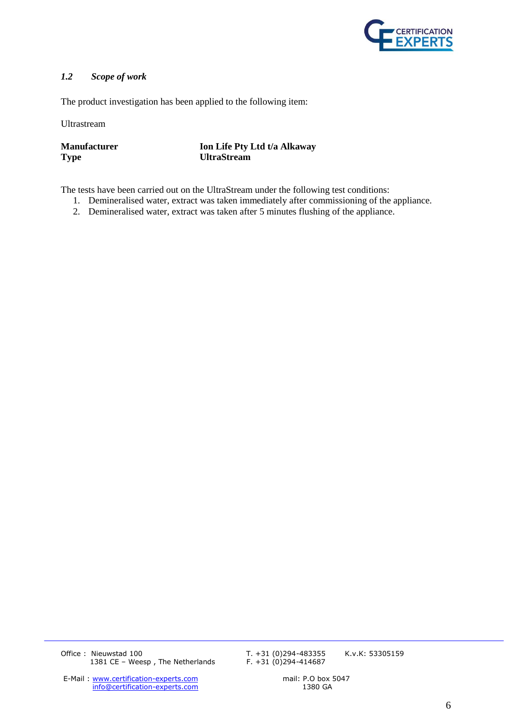

### <span id="page-5-0"></span>*1.2 Scope of work*

The product investigation has been applied to the following item:

Ultrastream

**Type UltraStream**

**Manufacturer Ion Life Pty Ltd t/a Alkaway** 

The tests have been carried out on the UltraStream under the following test conditions:

- 1. Demineralised water, extract was taken immediately after commissioning of the appliance.
- 2. Demineralised water, extract was taken after 5 minutes flushing of the appliance.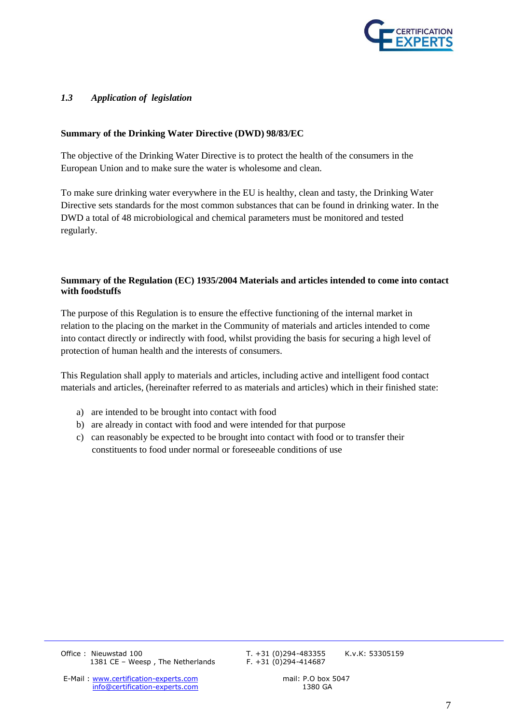

### <span id="page-6-0"></span>*1.3 Application of legislation*

### **Summary of the Drinking Water Directive (DWD) 98/83/EC**

The objective of the Drinking Water Directive is to protect the health of the consumers in the European Union and to make sure the water is wholesome and clean.

To make sure drinking water everywhere in the EU is healthy, clean and tasty, the Drinking Water Directive sets standards for the most common substances that can be found in drinking water. In the DWD a total of 48 microbiological and chemical parameters must be monitored and tested regularly.

### **Summary of the Regulation (EC) 1935/2004 Materials and articles intended to come into contact with foodstuffs**

The purpose of this Regulation is to ensure the effective functioning of the internal market in relation to the placing on the market in the Community of materials and articles intended to come into contact directly or indirectly with food, whilst providing the basis for securing a high level of protection of human health and the interests of consumers.

This Regulation shall apply to materials and articles, including active and intelligent food contact materials and articles, (hereinafter referred to as materials and articles) which in their finished state:

- a) are intended to be brought into contact with food
- b) are already in contact with food and were intended for that purpose
- c) can reasonably be expected to be brought into contact with food or to transfer their constituents to food under normal or foreseeable conditions of use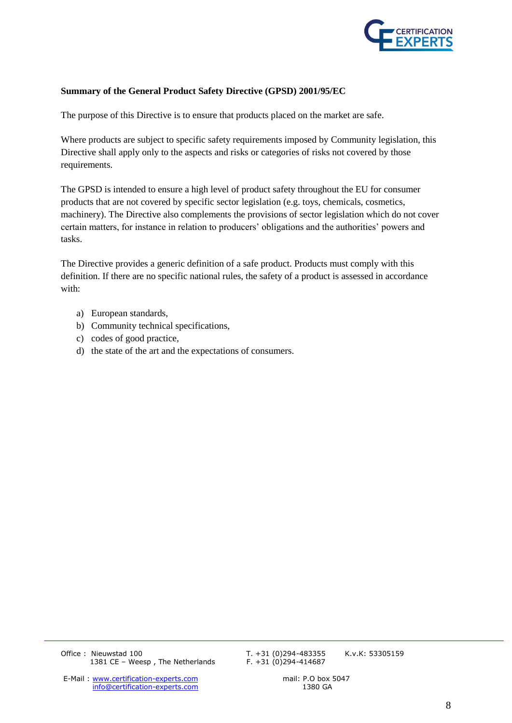

### **Summary of the General Product Safety Directive (GPSD) 2001/95/EC**

The purpose of this Directive is to ensure that products placed on the market are safe.

Where products are subject to specific safety requirements imposed by Community legislation, this Directive shall apply only to the aspects and risks or categories of risks not covered by those requirements.

The GPSD is intended to ensure a high level of product safety throughout the EU for consumer products that are not covered by specific [sector legislation](http://ec.europa.eu/consumers/safety/prod_legis/index_en.htm#sect) (e.g. toys, chemicals, cosmetics, machinery). The Directive also complements the provisions of sector legislation which do not cover certain matters, for instance in relation to producers' obligations and the authorities' powers and tasks.

The Directive provides a generic definition of a safe product. Products must comply with this definition. If there are no specific national rules, the safety of a product is assessed in accordance with:

- a) European standards,
- b) Community technical specifications,
- c) codes of good practice,
- d) the state of the art and the expectations of consumers.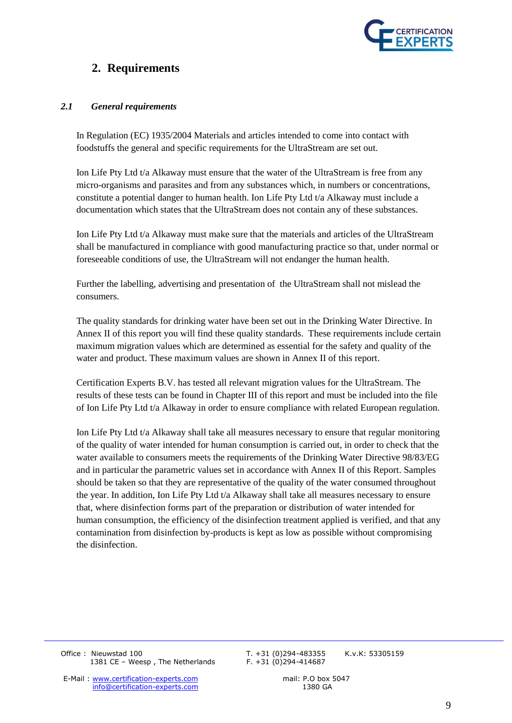

## <span id="page-8-0"></span>**2. Requirements**

### <span id="page-8-1"></span>*2.1 General requirements*

In Regulation (EC) 1935/2004 Materials and articles intended to come into contact with foodstuffs the general and specific requirements for the UltraStream are set out.

Ion Life Pty Ltd t/a Alkaway must ensure that the water of the UltraStream is free from any micro-organisms and parasites and from any substances which, in numbers or concentrations, constitute a potential danger to human health. Ion Life Pty Ltd t/a Alkaway must include a documentation which states that the UltraStream does not contain any of these substances.

Ion Life Pty Ltd t/a Alkaway must make sure that the materials and articles of the UltraStream shall be manufactured in compliance with good manufacturing practice so that, under normal or foreseeable conditions of use, the UltraStream will not endanger the human health.

Further the labelling, advertising and presentation of the UltraStream shall not mislead the consumers.

The quality standards for drinking water have been set out in the Drinking Water Directive. In Annex II of this report you will find these quality standards. These requirements include certain maximum migration values which are determined as essential for the safety and quality of the water and product. These maximum values are shown in Annex II of this report.

Certification Experts B.V. has tested all relevant migration values for the UltraStream. The results of these tests can be found in Chapter III of this report and must be included into the file of Ion Life Pty Ltd t/a Alkaway in order to ensure compliance with related European regulation.

Ion Life Pty Ltd t/a Alkaway shall take all measures necessary to ensure that regular monitoring of the quality of water intended for human consumption is carried out, in order to check that the water available to consumers meets the requirements of the Drinking Water Directive 98/83/EG and in particular the parametric values set in accordance with Annex II of this Report. Samples should be taken so that they are representative of the quality of the water consumed throughout the year. In addition, Ion Life Pty Ltd t/a Alkaway shall take all measures necessary to ensure that, where disinfection forms part of the preparation or distribution of water intended for human consumption, the efficiency of the disinfection treatment applied is verified, and that any contamination from disinfection by-products is kept as low as possible without compromising the disinfection.

Office : Nieuwstad 100 T. +31 (0)294-483355 K.v.K: 53305159 1381 CE – Weesp, The Netherlands F. +31 (0)294-414687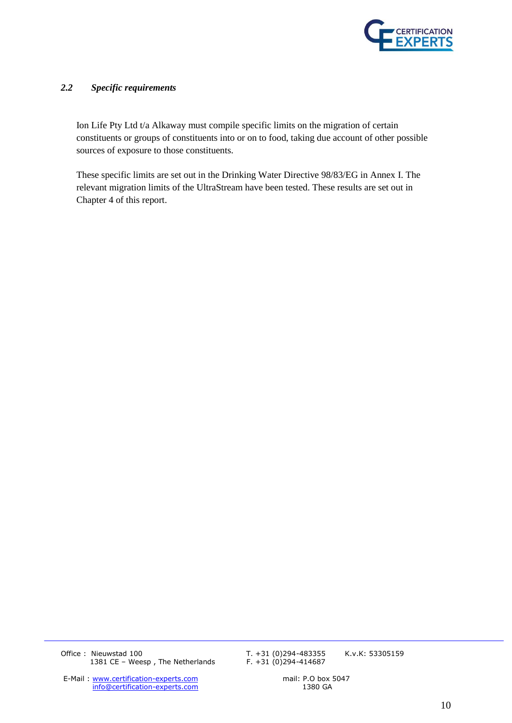

### <span id="page-9-0"></span>*2.2 Specific requirements*

Ion Life Pty Ltd t/a Alkaway must compile specific limits on the migration of certain constituents or groups of constituents into or on to food, taking due account of other possible sources of exposure to those constituents.

These specific limits are set out in the Drinking Water Directive 98/83/EG in Annex I. The relevant migration limits of the UltraStream have been tested. These results are set out in Chapter 4 of this report.

Office : Nieuwstad 100 <br>1381 CE – Weesp, The Netherlands F. +31 (0)294-414687 <br>F. +31 (0)294-414687 1381 CE – Weesp, The Netherlands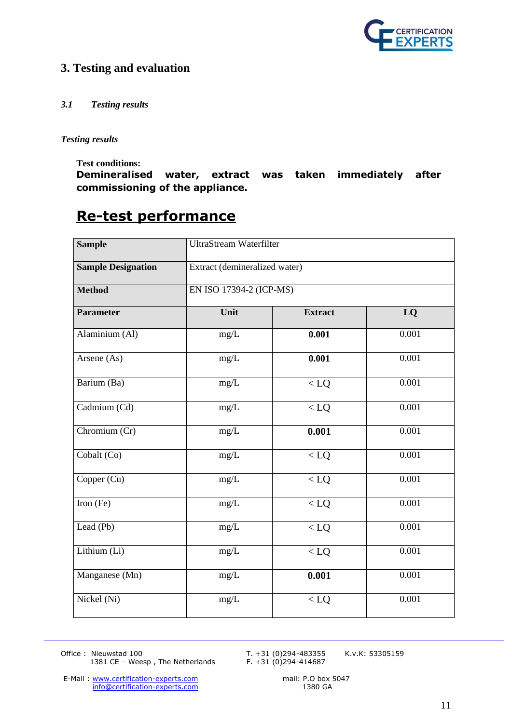

# <span id="page-10-0"></span>**3. Testing and evaluation**

### <span id="page-10-1"></span>*3.1 Testing results*

<span id="page-10-2"></span>*Testing results*

**Test conditions:** 

**Demineralised water, extract was taken immediately after commissioning of the appliance.** 

# **Re-test performance**

| <b>Sample</b>             | <b>UltraStream Waterfilter</b> |                |       |
|---------------------------|--------------------------------|----------------|-------|
| <b>Sample Designation</b> | Extract (demineralized water)  |                |       |
| <b>Method</b>             | EN ISO 17394-2 (ICP-MS)        |                |       |
| <b>Parameter</b>          | Unit                           | <b>Extract</b> | LQ    |
| Alaminium (Al)            | mg/L                           | 0.001          | 0.001 |
| Arsene (As)               | $mg/L$                         | 0.001          | 0.001 |
| Barium (Ba)               | mg/L                           | $<$ LQ         | 0.001 |
| Cadmium (Cd)              | mg/L                           | $<$ LQ         | 0.001 |
| Chromium (Cr)             | mg/L                           | 0.001          | 0.001 |
| Cobalt (Co)               | $mg/L$                         | $<$ LQ         | 0.001 |
| Copper (Cu)               | mg/L                           | < LQ           | 0.001 |
| Iron (Fe)                 | mg/L                           | $<$ LQ         | 0.001 |
| Lead (Pb)                 | mg/L                           | < LQ           | 0.001 |
| Lithium (Li)              | $mg/L$                         | $<$ LQ         | 0.001 |
| Manganese (Mn)            | mg/L                           | 0.001          | 0.001 |
| Nickel (Ni)               | $mg/L$                         | $<$ LQ         | 0.001 |

Office : Nieuwstad 100 <br>1381 CE – Weesp, The Netherlands F. +31 (0)294-414687 <br>F. +31 (0)294-414687 1381 CE – Weesp, The Netherlands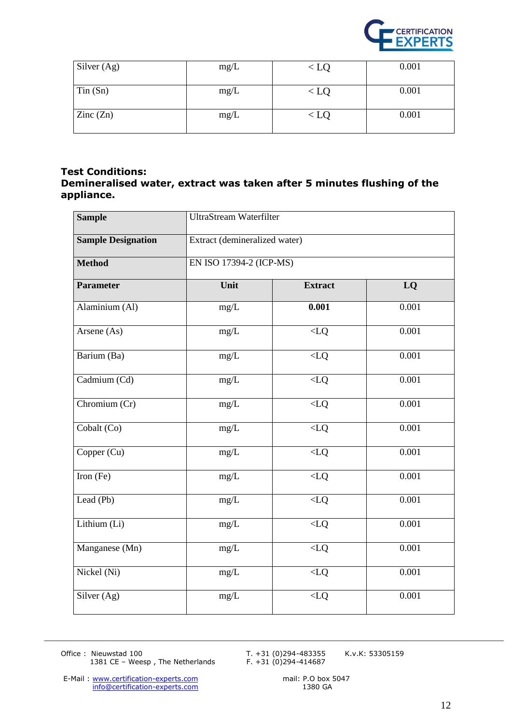

| Silver (Ag)              | mg/L | $\zeta$ LQ | 0.001 |
|--------------------------|------|------------|-------|
| Tin(Sn)                  | mg/L | . LV       | 0.001 |
| $\text{Zinc}(\text{Zn})$ | mg/L | . LŲ       | 0.001 |

### **Test Conditions:**

### **Demineralised water, extract was taken after 5 minutes flushing of the appliance.**

| <b>Sample</b>             | <b>UltraStream Waterfilter</b> |                         |       |
|---------------------------|--------------------------------|-------------------------|-------|
| <b>Sample Designation</b> | Extract (demineralized water)  |                         |       |
| <b>Method</b>             | EN ISO 17394-2 (ICP-MS)        |                         |       |
| <b>Parameter</b>          | Unit                           | <b>Extract</b>          | LQ    |
| Alaminium (Al)            | mg/L                           | 0.001                   | 0.001 |
| Arsene (As)               | mg/L                           | < LQ                    | 0.001 |
| Barium (Ba)               | mg/L                           | < LQ                    | 0.001 |
| Cadmium (Cd)              | mg/L                           | $\overline{\langle LQ}$ | 0.001 |
| Chromium (Cr)             | mg/L                           | $\overline{c}$          | 0.001 |
| Cobalt (Co)               | mg/L                           | $\overline{\langle LQ}$ | 0.001 |
| $\overline{Copper}$ (Cu)  | mg/L                           | $\overline{dQ}$         | 0.001 |
| Iron (Fe)                 | mg/L                           | $\overline{c}$          | 0.001 |
| Lead $(Pb)$               | mg/L                           | < Q                     | 0.001 |
| Lithium (Li)              | mg/L                           | < LQ                    | 0.001 |
| Manganese (Mn)            | mg/L                           | $\overline{c}$          | 0.001 |
| Nickel (Ni)               | mg/L                           | < LQ                    | 0.001 |
| Silver (Ag)               | mg/L                           | $< LQ$                  | 0.001 |

Office : Nieuwstad 100 <br>1381 CE – Weesp, The Netherlands F. +31 (0)294-414687<br>F. +31 (0)294-414687 1381 CE – Weesp, The Netherlands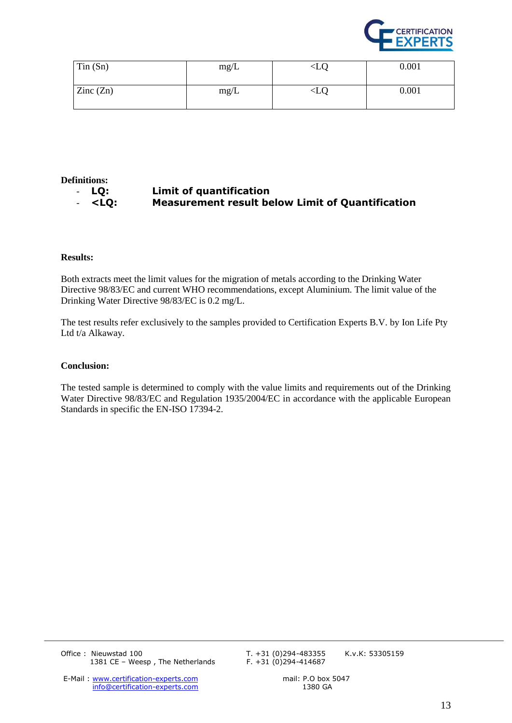

| Tin (Sn)                 | mg/L | ⊲LŲ                             | 0.001 |
|--------------------------|------|---------------------------------|-------|
| $\text{Zinc}(\text{Zn})$ | mg/L | <lq< th=""><th>0.001</th></lq<> | 0.001 |

### **Definitions:**

### - **LQ: Limit of quantification**  - **<LQ: Measurement result below Limit of Quantification**

### **Results:**

Both extracts meet the limit values for the migration of metals according to the Drinking Water Directive 98/83/EC and current WHO recommendations, except Aluminium. The limit value of the Drinking Water Directive 98/83/EC is 0.2 mg/L.

The test results refer exclusively to the samples provided to Certification Experts B.V. by Ion Life Pty Ltd t/a Alkaway.

#### **Conclusion:**

The tested sample is determined to comply with the value limits and requirements out of the Drinking Water Directive 98/83/EC and Regulation 1935/2004/EC in accordance with the applicable European Standards in specific the EN-ISO 17394-2.

Office : Nieuwstad 100 <br>1381 CE – Weesp, The Netherlands F. +31 (0)294-414687 <br>F. +31 (0)294-414687 1381 CE – Weesp, The Netherlands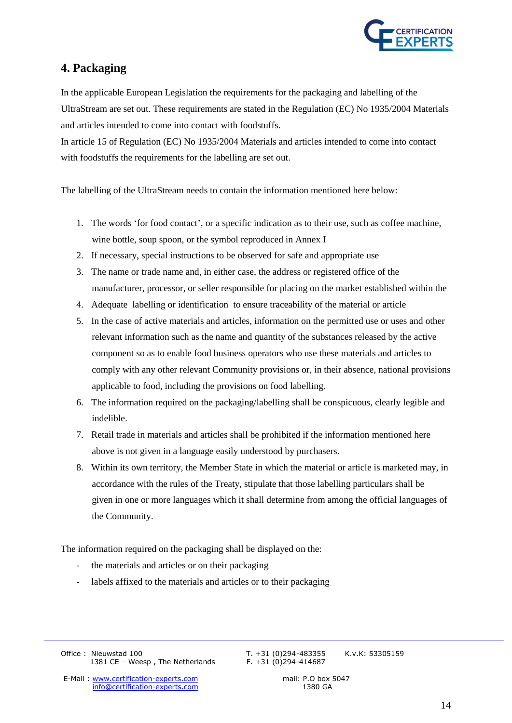

## **4. Packaging**

In the applicable European Legislation the requirements for the packaging and labelling of the UltraStream are set out. These requirements are stated in the Regulation (EC) No 1935/2004 Materials and articles intended to come into contact with foodstuffs.

In article 15 of Regulation (EC) No 1935/2004 Materials and articles intended to come into contact with foodstuffs the requirements for the labelling are set out.

The labelling of the UltraStream needs to contain the information mentioned here below:

- 1. The words 'for food contact', or a specific indication as to their use, such as coffee machine, wine bottle, soup spoon, or the symbol reproduced in Annex I
- 2. If necessary, special instructions to be observed for safe and appropriate use
- 3. The name or trade name and, in either case, the address or registered office of the manufacturer, processor, or seller responsible for placing on the market established within the
- 4. Adequate labelling or identification to ensure traceability of the material or article
- 5. In the case of active materials and articles, information on the permitted use or uses and other relevant information such as the name and quantity of the substances released by the active component so as to enable food business operators who use these materials and articles to comply with any other relevant Community provisions or, in their absence, national provisions applicable to food, including the provisions on food labelling.
- 6. The information required on the packaging/labelling shall be conspicuous, clearly legible and indelible.
- 7. Retail trade in materials and articles shall be prohibited if the information mentioned here above is not given in a language easily understood by purchasers.
- 8. Within its own territory, the Member State in which the material or article is marketed may, in accordance with the rules of the Treaty, stipulate that those labelling particulars shall be given in one or more languages which it shall determine from among the official languages of the Community.

The information required on the packaging shall be displayed on the:

- the materials and articles or on their packaging
- labels affixed to the materials and articles or to their packaging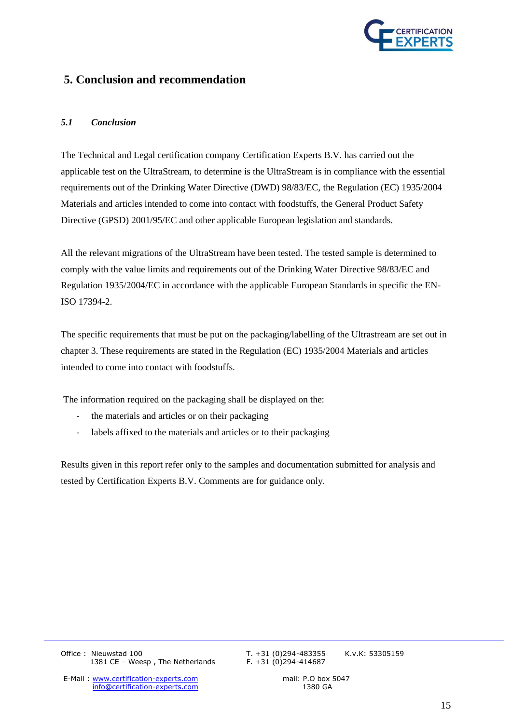

### <span id="page-14-0"></span>**5. Conclusion and recommendation**

### <span id="page-14-1"></span>*5.1 Conclusion*

The Technical and Legal certification company Certification Experts B.V. has carried out the applicable test on the UltraStream, to determine is the UltraStream is in compliance with the essential requirements out of the Drinking Water Directive (DWD) 98/83/EC, the Regulation (EC) 1935/2004 Materials and articles intended to come into contact with foodstuffs, the General Product Safety Directive (GPSD) 2001/95/EC and other applicable European legislation and standards.

All the relevant migrations of the UltraStream have been tested. The tested sample is determined to comply with the value limits and requirements out of the Drinking Water Directive 98/83/EC and Regulation 1935/2004/EC in accordance with the applicable European Standards in specific the EN-ISO 17394-2.

The specific requirements that must be put on the packaging/labelling of the Ultrastream are set out in chapter 3. These requirements are stated in the Regulation (EC) 1935/2004 Materials and articles intended to come into contact with foodstuffs.

The information required on the packaging shall be displayed on the:

- the materials and articles or on their packaging
- labels affixed to the materials and articles or to their packaging

Results given in this report refer only to the samples and documentation submitted for analysis and tested by Certification Experts B.V. Comments are for guidance only.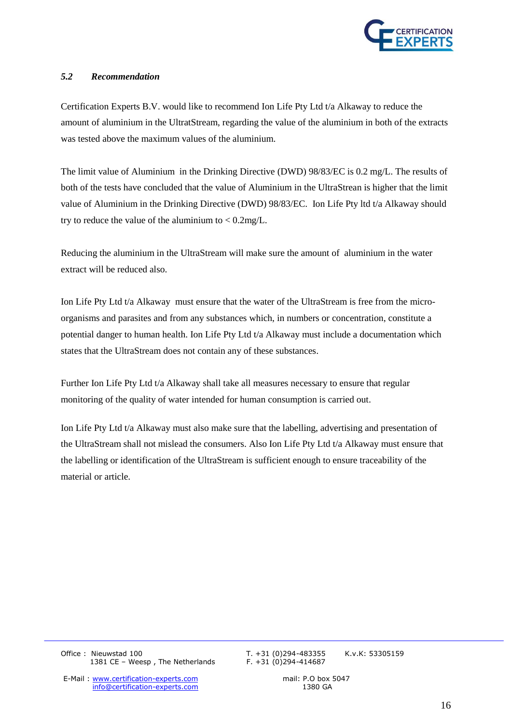

### <span id="page-15-0"></span>*5.2 Recommendation*

Certification Experts B.V. would like to recommend Ion Life Pty Ltd t/a Alkaway to reduce the amount of aluminium in the UltratStream, regarding the value of the aluminium in both of the extracts was tested above the maximum values of the aluminium.

The limit value of Aluminium in the Drinking Directive (DWD) 98/83/EC is 0.2 mg/L. The results of both of the tests have concluded that the value of Aluminium in the UltraStrean is higher that the limit value of Aluminium in the Drinking Directive (DWD) 98/83/EC. Ion Life Pty ltd t/a Alkaway should try to reduce the value of the aluminium to  $< 0.2$ mg/L.

Reducing the aluminium in the UltraStream will make sure the amount of aluminium in the water extract will be reduced also.

Ion Life Pty Ltd t/a Alkaway must ensure that the water of the UltraStream is free from the microorganisms and parasites and from any substances which, in numbers or concentration, constitute a potential danger to human health. Ion Life Pty Ltd t/a Alkaway must include a documentation which states that the UltraStream does not contain any of these substances.

Further Ion Life Pty Ltd t/a Alkaway shall take all measures necessary to ensure that regular monitoring of the quality of water intended for human consumption is carried out.

Ion Life Pty Ltd t/a Alkaway must also make sure that the labelling, advertising and presentation of the UltraStream shall not mislead the consumers. Also Ion Life Pty Ltd t/a Alkaway must ensure that the labelling or identification of the UltraStream is sufficient enough to ensure traceability of the material or article.

Office : Nieuwstad 100 T. +31 (0)294-483355 K.v.K: 53305159 1381 CE – Weesp, The Netherlands F. +31 (0)294-414687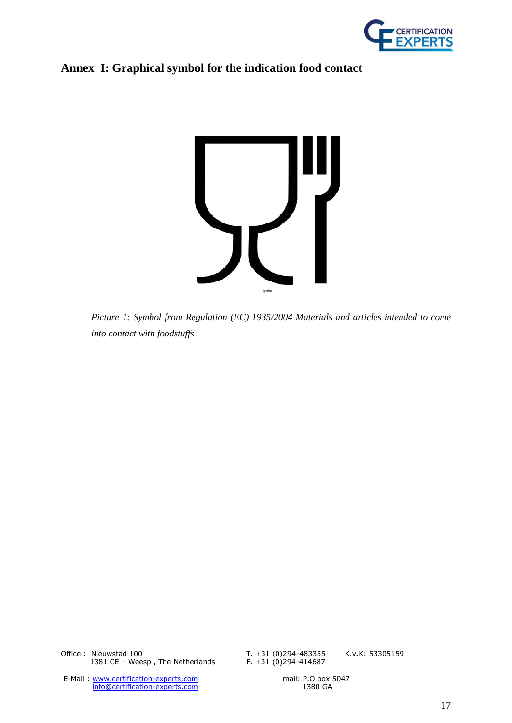

# <span id="page-16-0"></span>**Annex I: Graphical symbol for the indication food contact**



*Picture 1: Symbol from Regulation (EC) 1935/2004 Materials and articles intended to come into contact with foodstuffs*

Office : Nieuwstad 100 <br>1381 CE - Weesp, The Netherlands F. +31 (0)294-414687<br>F. +31 (0)294-414687 1381 CE – Weesp, The Netherlands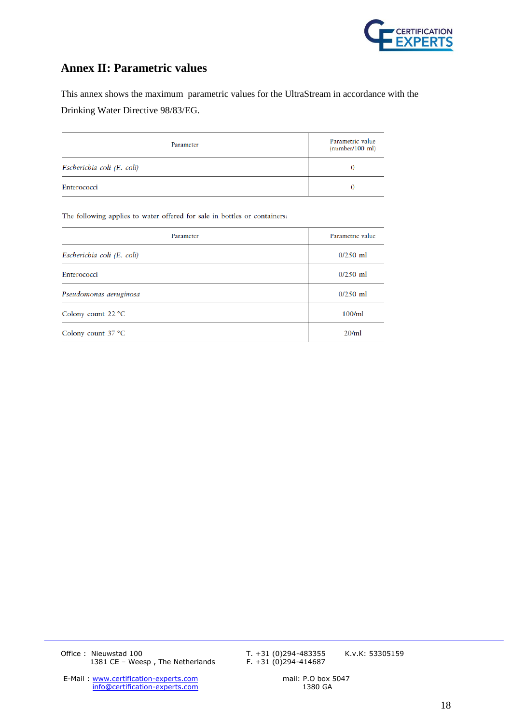

## <span id="page-17-0"></span>**Annex II: Parametric values**

This annex shows the maximum parametric values for the UltraStream in accordance with the Drinking Water Directive 98/83/EG.

| Parameter                  | Parametric value<br>(number/100 ml) |
|----------------------------|-------------------------------------|
| Escherichia coli (E. coli) |                                     |
| Enterococci                |                                     |

The following applies to water offered for sale in bottles or containers:

| Parameter                   | Parametric value |
|-----------------------------|------------------|
| Escherichia coli (E. coli)  | $0/250$ ml       |
| Enterococci                 | $0/250$ ml       |
| Pseudomonas aeruginosa      | $0/250$ ml       |
| Colony count 22 °C          | 100/ml           |
| Colony count $37^{\circ}$ C | 20/ml            |

Office : Nieuwstad 100 <br>1381 CE – Weesp, The Netherlands F. +31 (0)294-414687<br>F. +31 (0)294-414687 1381 CE – Weesp, The Netherlands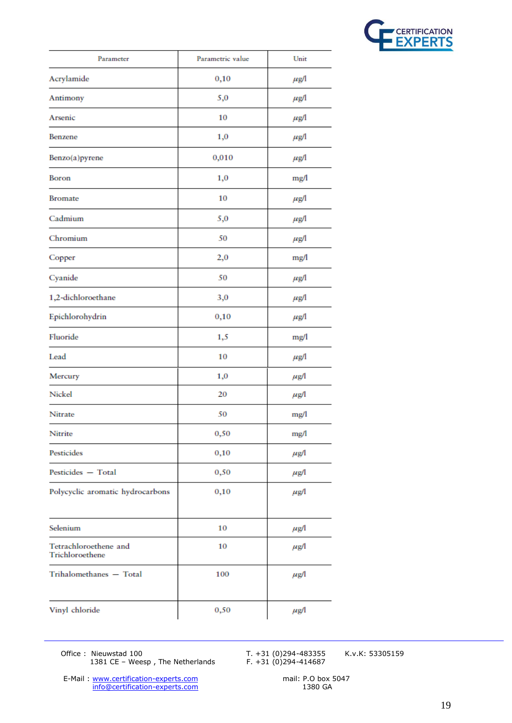

| Parameter                                | Parametric value | Unit      |
|------------------------------------------|------------------|-----------|
| Acrylamide                               | 0,10             | $\mu$ g/l |
| Antimony                                 | 5,0              | $\mu$ g/l |
| Arsenic                                  | 10               | $\mu$ g/l |
| Benzene                                  | 1,0              | $\mu$ g/l |
| Benzo(a)pyrene                           | 0,010            | $\mu$ g/l |
| Boron                                    | 1,0              | mg/l      |
| <b>Bromate</b>                           | 10               | $\mu$ g/l |
| Cadmium                                  | 5,0              | $\mu$ g/l |
| Chromium                                 | 50               | $\mu$ g/l |
| Copper                                   | 2,0              | mg/l      |
| Cyanide                                  | 50               | $\mu$ g/l |
| 1,2-dichloroethane                       | 3,0              | $\mu$ g/l |
| Epichlorohydrin                          | 0,10             | $\mu$ g/l |
| Fluoride                                 | 1,5              | mg/l      |
| Lead                                     | 10               | μg/l      |
| Mercury                                  | 1,0              | $\mu$ g/l |
| Nickel                                   | 20               | $\mu$ g/l |
| Nitrate                                  | 50               | mg/l      |
| Nitrite                                  | 0,50             | mg/l      |
| Pesticides                               | 0,10             | $\mu$ g/l |
| Pesticides - Total                       | 0,50             | $\mu$ g/l |
| Polycyclic aromatic hydrocarbons         | 0,10             | $\mu$ g/l |
| Selenium                                 | 10               | $\mu$ g/l |
| Tetrachloroethene and<br>Trichloroethene | 10               | $\mu$ g/l |
| Trihalomethanes - Total                  | 100              | $\mu$ g/l |
| Vinyl chloride                           | 0,50             | $\mu$ g/l |

Office : Nieuwstad 100 T. +31 (0)294-483355 K.v.K: 53305159 1381 CE – Weesp , The Netherlands F. +31 (0)294-414687